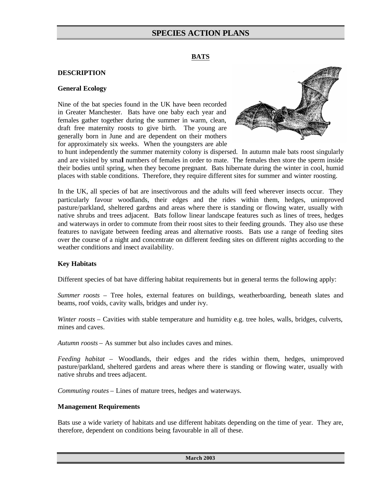#### **BATS**

### **DESCRIPTION**

#### **General Ecology**

Nine of the bat species found in the UK have been recorded in Greater Manchester. Bats have one baby each year and females gather together during the summer in warm, clean, draft free maternity roosts to give birth. The young are generally born in June and are dependent on their mothers for approximately six weeks. When the youngsters are able



to hunt independently the summer maternity colony is dispersed. In autumn male bats roost singularly and are visited by small numbers of females in order to mate. The females then store the sperm inside their bodies until spring, when they become pregnant. Bats hibernate during the winter in cool, humid places with stable conditions. Therefore, they require different sites for summer and winter roosting.

In the UK, all species of bat are insectivorous and the adults will feed wherever insects occur. They particularly favour woodlands, their edges and the rides within them, hedges, unimproved pasture/parkland, sheltered gardens and areas where there is standing or flowing water, usually with native shrubs and trees adjacent. Bats follow linear landscape features such as lines of trees, hedges and waterways in order to commute from their roost sites to their feeding grounds. They also use these features to navigate between feeding areas and alternative roosts. Bats use a range of feeding sites over the course of a night and concentrate on different feeding sites on different nights according to the weather conditions and insect availability.

#### **Key Habitats**

Different species of bat have differing habitat requirements but in general terms the following apply:

*Summer roosts* – Tree holes, external features on buildings, weatherboarding, beneath slates and beams, roof voids, cavity walls, bridges and under ivy.

*Winter roosts* – Cavities with stable temperature and humidity e.g. tree holes, walls, bridges, culverts, mines and caves.

*Autumn roosts* – As summer but also includes caves and mines.

*Feeding habitat* – Woodlands, their edges and the rides within them, hedges, unimproved pasture/parkland, sheltered gardens and areas where there is standing or flowing water, usually with native shrubs and trees adjacent.

*Commuting routes* – Lines of mature trees, hedges and waterways.

#### **Management Requirements**

Bats use a wide variety of habitats and use different habitats depending on the time of year. They are, therefore, dependent on conditions being favourable in all of these.

**March 2003**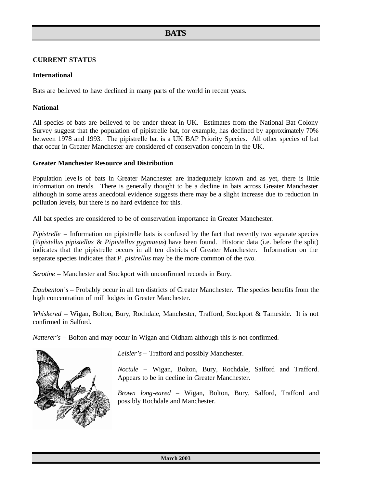## **CURRENT STATUS**

#### **International**

Bats are believed to have declined in many parts of the world in recent years.

### **National**

All species of bats are believed to be under threat in UK. Estimates from the National Bat Colony Survey suggest that the population of pipistrelle bat, for example, has declined by approximately 70% between 1978 and 1993. The pipistrelle bat is a UK BAP Priority Species. All other species of bat that occur in Greater Manchester are considered of conservation concern in the UK.

## **Greater Manchester Resource and Distribution**

Population leve ls of bats in Greater Manchester are inadequately known and as yet, there is little information on trends. There is generally thought to be a decline in bats across Greater Manchester although in some areas anecdotal evidence suggests there may be a slight increase due to reduction in pollution levels, but there is no hard evidence for this.

All bat species are considered to be of conservation importance in Greater Manchester.

*Pipistrelle* – Information on pipistrelle bats is confused by the fact that recently two separate species (P*ipistellus pipistellus* & *Pipistellus pygmaeus*) have been found. Historic data (i.e. before the split) indicates that the pipistrelle occurs in all ten districts of Greater Manchester. Information on the separate species indicates that *P. pistrellus* may be the more common of the two.

*Serotine* – Manchester and Stockport with unconfirmed records in Bury.

*Daubenton's* – Probably occur in all ten districts of Greater Manchester. The species benefits from the high concentration of mill lodges in Greater Manchester.

*Whiskered* – Wigan, Bolton, Bury, Rochdale, Manchester, Trafford, Stockport & Tameside. It is not confirmed in Salford.

*Natterer's* – Bolton and may occur in Wigan and Oldham although this is not confirmed.



*Leisler's* – Trafford and possibly Manchester.

*Noctule* – Wigan, Bolton, Bury, Rochdale, Salford and Trafford. Appears to be in decline in Greater Manchester.

*Brown long-eared* – Wigan, Bolton, Bury, Salford, Trafford and possibly Rochdale and Manchester.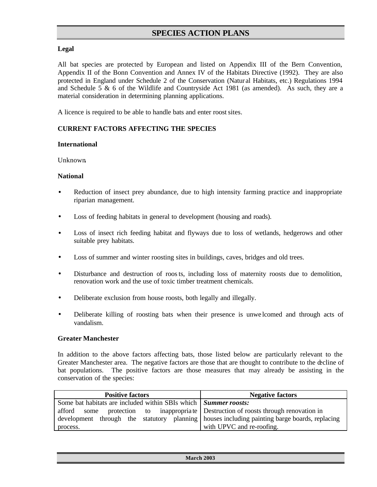# **Legal**

All bat species are protected by European and listed on Appendix III of the Bern Convention, Appendix II of the Bonn Convention and Annex IV of the Habitats Directive (1992). They are also protected in England under Schedule 2 of the Conservation (Natur al Habitats, etc.) Regulations 1994 and Schedule  $5 \& 6$  of the Wildlife and Countryside Act 1981 (as amended). As such, they are a material consideration in determining planning applications.

A licence is required to be able to handle bats and enter roost sites.

# **CURRENT FACTORS AFFECTING THE SPECIES**

#### **International**

Unknown**.**

## **National**

- Reduction of insect prey abundance, due to high intensity farming practice and inappropriate riparian management.
- Loss of feeding habitats in general to development (housing and roads).
- Loss of insect rich feeding habitat and flyways due to loss of wetlands, hedgerows and other suitable prey habitats.
- Loss of summer and winter roosting sites in buildings, caves, bridges and old trees.
- Disturbance and destruction of roosts, including loss of maternity roosts due to demolition, renovation work and the use of toxic timber treatment chemicals.
- Deliberate exclusion from house roosts, both legally and illegally.
- Deliberate killing of roosting bats when their presence is unwe lcomed and through acts of vandalism.

#### **Greater Manchester**

In addition to the above factors affecting bats, those listed below are particularly relevant to the Greater Manchester area. The negative factors are those that are thought to contribute to the decline of bat populations. The positive factors are those measures that may already be assisting in the conservation of the species:

| <b>Positive factors</b>                                                                      | <b>Negative factors</b>                                                 |
|----------------------------------------------------------------------------------------------|-------------------------------------------------------------------------|
| Some bat habitats are included within SBIs which   Summer roosts:                            |                                                                         |
| afford some                                                                                  | protection to inappropriate Destruction of roosts through renovation in |
| development through the statutory planning houses including painting barge boards, replacing |                                                                         |
| process.                                                                                     | with UPVC and re-roofing.                                               |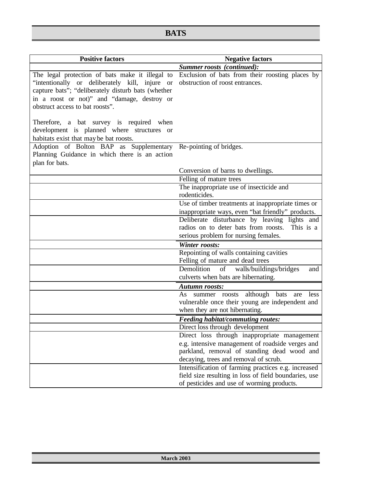| <b>Positive factors</b>                                                                                                                                                                                                                   | <b>Negative factors</b>                                                                                                         |  |
|-------------------------------------------------------------------------------------------------------------------------------------------------------------------------------------------------------------------------------------------|---------------------------------------------------------------------------------------------------------------------------------|--|
|                                                                                                                                                                                                                                           | Summer roosts (continued):                                                                                                      |  |
| The legal protection of bats make it illegal to<br>"intentionally or deliberately kill, injure or<br>capture bats"; "deliberately disturb bats (whether<br>in a roost or not)" and "damage, destroy or<br>obstruct access to bat roosts". | Exclusion of bats from their roosting places by<br>obstruction of roost entrances.                                              |  |
| Therefore, a bat survey is required when<br>development is planned where structures or<br>habitats exist that may be bat roosts.                                                                                                          |                                                                                                                                 |  |
| Adoption of Bolton BAP as Supplementary Re-pointing of bridges.<br>Planning Guidance in which there is an action<br>plan for bats.                                                                                                        |                                                                                                                                 |  |
|                                                                                                                                                                                                                                           | Conversion of barns to dwellings.                                                                                               |  |
|                                                                                                                                                                                                                                           | Felling of mature trees                                                                                                         |  |
|                                                                                                                                                                                                                                           | The inappropriate use of insecticide and<br>rodenticides.                                                                       |  |
|                                                                                                                                                                                                                                           | Use of timber treatments at inappropriate times or                                                                              |  |
|                                                                                                                                                                                                                                           | inappropriate ways, even "bat friendly" products.                                                                               |  |
|                                                                                                                                                                                                                                           | Deliberate disturbance by leaving lights and                                                                                    |  |
|                                                                                                                                                                                                                                           | radios on to deter bats from roosts.<br>This is a<br>serious problem for nursing females.                                       |  |
|                                                                                                                                                                                                                                           | <b>Winter roosts:</b>                                                                                                           |  |
|                                                                                                                                                                                                                                           | Repointing of walls containing cavities<br>Felling of mature and dead trees                                                     |  |
|                                                                                                                                                                                                                                           | Demolition<br>of<br>walls/buildings/bridges<br>and<br>culverts when bats are hibernating.                                       |  |
|                                                                                                                                                                                                                                           | <b>Autumn roosts:</b>                                                                                                           |  |
|                                                                                                                                                                                                                                           | As summer roosts although bats<br>are less<br>vulnerable once their young are independent and<br>when they are not hibernating. |  |
|                                                                                                                                                                                                                                           | <b>Feeding habitat/commuting routes:</b>                                                                                        |  |
|                                                                                                                                                                                                                                           | Direct loss through development                                                                                                 |  |
|                                                                                                                                                                                                                                           | Direct loss through inappropriate management                                                                                    |  |
|                                                                                                                                                                                                                                           | e.g. intensive management of roadside verges and<br>parkland, removal of standing dead wood and                                 |  |
|                                                                                                                                                                                                                                           | decaying, trees and removal of scrub.                                                                                           |  |
|                                                                                                                                                                                                                                           | Intensification of farming practices e.g. increased                                                                             |  |
|                                                                                                                                                                                                                                           | field size resulting in loss of field boundaries, use                                                                           |  |
|                                                                                                                                                                                                                                           | of pesticides and use of worming products.                                                                                      |  |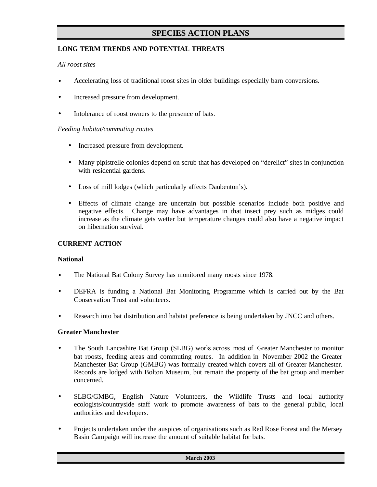# **LONG TERM TRENDS AND POTENTIAL THREATS**

## *All roost sites*

- Accelerating loss of traditional roost sites in older buildings especially barn conversions.
- Increased pressure from development.
- Intolerance of roost owners to the presence of bats.

## *Feeding habitat/commuting routes*

- Increased pressure from development.
- Many pipistrelle colonies depend on scrub that has developed on "derelict" sites in conjunction with residential gardens.
- Loss of mill lodges (which particularly affects Daubenton's).
- Effects of climate change are uncertain but possible scenarios include both positive and negative effects. Change may have advantages in that insect prey such as midges could increase as the climate gets wetter but temperature changes could also have a negative impact on hibernation survival.

# **CURRENT ACTION**

#### **National**

- The National Bat Colony Survey has monitored many roosts since 1978.
- DEFRA is funding a National Bat Monitoring Programme which is carried out by the Bat Conservation Trust and volunteers.
- Research into bat distribution and habitat preference is being undertaken by JNCC and others.

#### **Greater Manchester**

- The South Lancashire Bat Group (SLBG) works across most of Greater Manchester to monitor bat roosts, feeding areas and commuting routes. In addition in November 2002 the Greater Manchester Bat Group (GMBG) was formally created which covers all of Greater Manchester. Records are lodged with Bolton Museum, but remain the property of the bat group and member concerned.
- SLBG/GMBG, English Nature Volunteers, the Wildlife Trusts and local authority ecologists/countryside staff work to promote awareness of bats to the general public, local authorities and developers.
- Projects undertaken under the auspices of organisations such as Red Rose Forest and the Mersey Basin Campaign will increase the amount of suitable habitat for bats.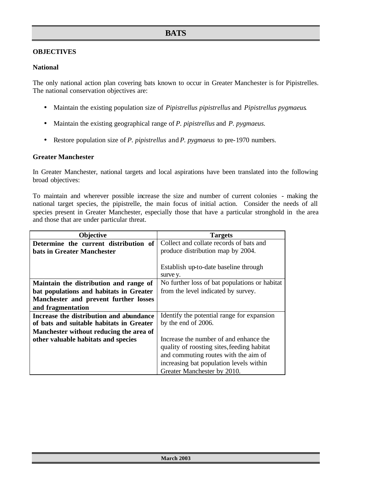# **OBJECTIVES**

### **National**

The only national action plan covering bats known to occur in Greater Manchester is for Pipistrelles. The national conservation objectives are:

- Maintain the existing population size of *Pipistrellus pipistrellus* and *Pipistrellus pygmaeus*.
- Maintain the existing geographical range of *P. pipistrellus* and *P. pygmaeus.*
- Restore population size of *P. pipistrellus* and *P. pygmaeus* to pre-1970 numbers.

#### **Greater Manchester**

In Greater Manchester, national targets and local aspirations have been translated into the following broad objectives:

To maintain and wherever possible increase the size and number of current colonies - making the national target species, the pipistrelle, the main focus of initial action. Consider the needs of all species present in Greater Manchester, especially those that have a particular stronghold in the area and those that are under particular threat.

| <b>Objective</b>                         | <b>Targets</b>                                |
|------------------------------------------|-----------------------------------------------|
| Determine the current distribution of    | Collect and collate records of bats and       |
| bats in Greater Manchester               | produce distribution map by 2004.             |
|                                          |                                               |
|                                          | Establish up-to-date baseline through         |
|                                          | surve y.                                      |
| Maintain the distribution and range of   | No further loss of bat populations or habitat |
| bat populations and habitats in Greater  | from the level indicated by survey.           |
| Manchester and prevent further losses    |                                               |
| and fragmentation                        |                                               |
| Increase the distribution and abundance  | Identify the potential range for expansion    |
| of bats and suitable habitats in Greater | by the end of 2006.                           |
| Manchester without reducing the area of  |                                               |
| other valuable habitats and species      | Increase the number of and enhance the        |
|                                          | quality of roosting sites, feeding habitat    |
|                                          | and commuting routes with the aim of          |
|                                          | increasing bat population levels within       |
|                                          | Greater Manchester by 2010.                   |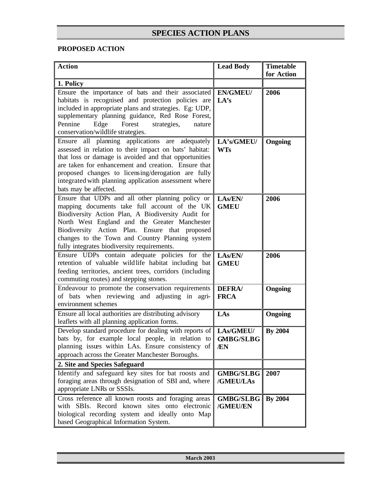# **PROPOSED ACTION**

| <b>Action</b>                                                                                                                                                                                                                                                                                                                                                        | <b>Lead Body</b>              | <b>Timetable</b><br>for Action |
|----------------------------------------------------------------------------------------------------------------------------------------------------------------------------------------------------------------------------------------------------------------------------------------------------------------------------------------------------------------------|-------------------------------|--------------------------------|
| 1. Policy                                                                                                                                                                                                                                                                                                                                                            |                               |                                |
| Ensure the importance of bats and their associated<br>habitats is recognised and protection policies are<br>included in appropriate plans and strategies. Eg: UDP,<br>supplementary planning guidance, Red Rose Forest,<br>Pennine<br>Edge<br>Forest<br>strategies,<br>nature<br>conservation/wildlife strategies.                                                   | <b>EN/GMEU/</b><br>LA's       | 2006                           |
| all planning applications are adequately<br>Ensure<br>assessed in relation to their impact on bats' habitat:<br>that loss or damage is avoided and that opportunities<br>are taken for enhancement and creation. Ensure that<br>proposed changes to licensing/derogation are fully<br>integrated with planning application assessment where<br>bats may be affected. | LA's/GMEU/<br><b>WTs</b>      | Ongoing                        |
| Ensure that UDPs and all other planning policy or<br>mapping documents take full account of the UK<br>Biodiversity Action Plan, A Biodiversity Audit for<br>North West England and the Greater Manchester<br>Biodiversity Action Plan. Ensure that proposed<br>changes to the Town and Country Planning system<br>fully integrates biodiversity requirements.        | LAS/EN/<br><b>GMEU</b>        | 2006                           |
| Ensure UDPs contain adequate policies for the<br>retention of valuable wildlife habitat including bat<br>feeding territories, ancient trees, corridors (including<br>commuting routes) and stepping stones.                                                                                                                                                          | LAs/EN/<br><b>GMEU</b>        | 2006                           |
| Endeavour to promote the conservation requirements<br>of bats when reviewing and adjusting in agri-<br>environment schemes                                                                                                                                                                                                                                           | <b>DEFRA/</b><br><b>FRCA</b>  | Ongoing                        |
| Ensure all local authorities are distributing advisory<br>leaflets with all planning application forms.                                                                                                                                                                                                                                                              | LAs                           | Ongoing                        |
| Develop standard procedure for dealing with reports of   LAs/GMEU/<br>bats by, for example local people, in relation to<br>planning issues within LAs. Ensure consistency of<br>approach across the Greater Manchester Boroughs.                                                                                                                                     | <b>GMBG/SLBG</b><br>/EN       | <b>By 2004</b>                 |
| 2. Site and Species Safeguard                                                                                                                                                                                                                                                                                                                                        |                               |                                |
| Identify and safeguard key sites for bat roosts and<br>foraging areas through designation of SBI and, where<br>appropriate LNRs or SSSIs.                                                                                                                                                                                                                            | <b>GMBG/SLBG</b><br>/GMEU/LAs | 2007                           |
| Cross reference all known roosts and foraging areas<br>with SBIs. Record known sites onto electronic<br>biological recording system and ideally onto Map<br>based Geographical Information System.                                                                                                                                                                   | <b>GMBG/SLBG</b><br>/GMEU/EN  | <b>By 2004</b>                 |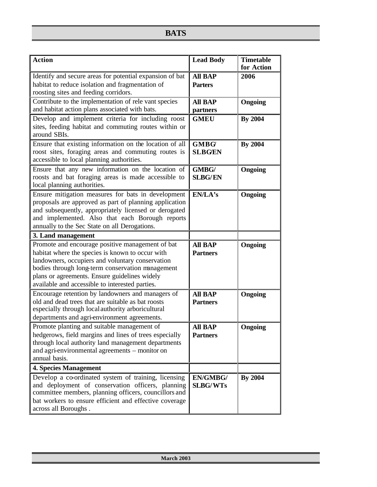| <b>Action</b>                                                                                                                                                                                                                                                                                                    | <b>Lead Body</b>                  | <b>Timetable</b><br>for Action |
|------------------------------------------------------------------------------------------------------------------------------------------------------------------------------------------------------------------------------------------------------------------------------------------------------------------|-----------------------------------|--------------------------------|
| Identify and secure areas for potential expansion of bat<br>habitat to reduce isolation and fragmentation of<br>roosting sites and feeding corridors.                                                                                                                                                            | <b>All BAP</b><br><b>Parters</b>  | 2006                           |
| Contribute to the implementation of rele vant species<br>and habitat action plans associated with bats.                                                                                                                                                                                                          | <b>All BAP</b><br>partners        | Ongoing                        |
| Develop and implement criteria for including roost<br>sites, feeding habitat and commuting routes within or<br>around SBIs.                                                                                                                                                                                      | <b>GMEU</b>                       | <b>By 2004</b>                 |
| Ensure that existing information on the location of all<br>roost sites, foraging areas and commuting routes is<br>accessible to local planning authorities.                                                                                                                                                      | <b>GMBG</b><br><b>SLBG/EN</b>     | <b>By 2004</b>                 |
| Ensure that any new information on the location of<br>roosts and bat foraging areas is made accessible to<br>local planning authorities.                                                                                                                                                                         | GMBG/<br><b>SLBG/EN</b>           | Ongoing                        |
| Ensure mitigation measures for bats in development<br>proposals are approved as part of planning application<br>and subsequently, appropriately licensed or derogated<br>and implemented. Also that each Borough reports<br>annually to the Sec State on all Derogations.                                        | EN/LA's                           | Ongoing                        |
| 3. Land management                                                                                                                                                                                                                                                                                               |                                   |                                |
| Promote and encourage positive management of bat<br>habitat where the species is known to occur with<br>landowners, occupiers and voluntary conservation<br>bodies through long-term conservation management<br>plans or agreements. Ensure guidelines widely<br>available and accessible to interested parties. | <b>All BAP</b><br><b>Partners</b> | <b>Ongoing</b>                 |
| Encourage retention by landowners and managers of<br>old and dead trees that are suitable as bat roosts<br>especially through local authority arboricultural<br>departments and agri-environment agreements.                                                                                                     | <b>All BAP</b><br><b>Partners</b> | Ongoing                        |
| Promote planting and suitable management of<br>hedgerows, field margins and lines of trees especially<br>through local authority land management departments<br>and agri-environmental agreements – monitor on<br>annual basis.                                                                                  | <b>All BAP</b><br><b>Partners</b> | Ongoing                        |
| <b>4. Species Management</b>                                                                                                                                                                                                                                                                                     |                                   |                                |
| Develop a co-ordinated system of training, licensing<br>and deployment of conservation officers, planning<br>committee members, planning officers, councillors and<br>bat workers to ensure efficient and effective coverage<br>across all Boroughs.                                                             | EN/GMBG/<br><b>SLBG/WTs</b>       | <b>By 2004</b>                 |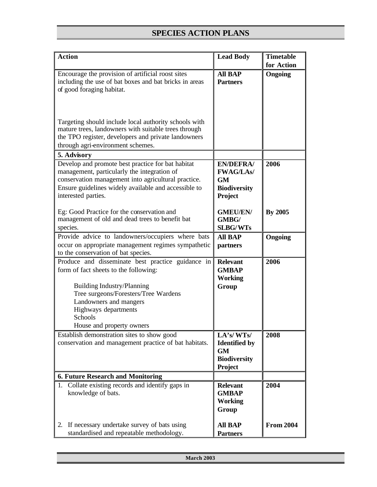| <b>Action</b>                                                                                                                                                                                                                          | <b>Lead Body</b>                                                                 | <b>Timetable</b> |
|----------------------------------------------------------------------------------------------------------------------------------------------------------------------------------------------------------------------------------------|----------------------------------------------------------------------------------|------------------|
|                                                                                                                                                                                                                                        |                                                                                  | for Action       |
| Encourage the provision of artificial roost sites<br>including the use of bat boxes and bat bricks in areas<br>of good foraging habitat.                                                                                               | <b>All BAP</b><br><b>Partners</b>                                                | Ongoing          |
| Targeting should include local authority schools with<br>mature trees, landowners with suitable trees through<br>the TPO register, developers and private landowners<br>through agri-environment schemes.                              |                                                                                  |                  |
| 5. Advisory                                                                                                                                                                                                                            |                                                                                  |                  |
| Develop and promote best practice for bat habitat<br>management, particularly the integration of<br>conservation management into agricultural practice.<br>Ensure guidelines widely available and accessible to<br>interested parties. | <b>EN/DEFRA/</b><br><b>FWAG/LAs/</b><br>GM<br><b>Biodiversity</b><br>Project     | 2006             |
| Eg: Good Practice for the conservation and<br>management of old and dead trees to benefit bat<br>species.                                                                                                                              | <b>GMEU/EN/</b><br>GMBG/<br><b>SLBG/WTs</b>                                      | <b>By 2005</b>   |
| Provide advice to landowners/occupiers where bats<br>occur on appropriate management regimes sympathetic<br>to the conservation of bat species.                                                                                        | <b>All BAP</b><br>partners                                                       | Ongoing          |
| Produce and disseminate best practice guidance in<br>form of fact sheets to the following:                                                                                                                                             | <b>Relevant</b><br><b>GMBAP</b><br><b>Working</b>                                | 2006             |
| <b>Building Industry/Planning</b><br>Tree surgeons/Foresters/Tree Wardens<br>Landowners and mangers<br>Highways departments<br>Schools<br>House and property owners                                                                    | Group                                                                            |                  |
| Establish demonstration sites to show good<br>conservation and management practice of bat habitats.                                                                                                                                    | LA's/WTs/<br><b>Identified by</b><br><b>GM</b><br><b>Biodiversity</b><br>Project | 2008             |
| <b>6. Future Research and Monitoring</b>                                                                                                                                                                                               |                                                                                  |                  |
| 1. Collate existing records and identify gaps in<br>knowledge of bats.                                                                                                                                                                 | <b>Relevant</b><br><b>GMBAP</b><br><b>Working</b><br>Group                       | 2004             |
| If necessary undertake survey of bats using<br>2.<br>standardised and repeatable methodology.                                                                                                                                          | <b>All BAP</b><br><b>Partners</b>                                                | <b>From 2004</b> |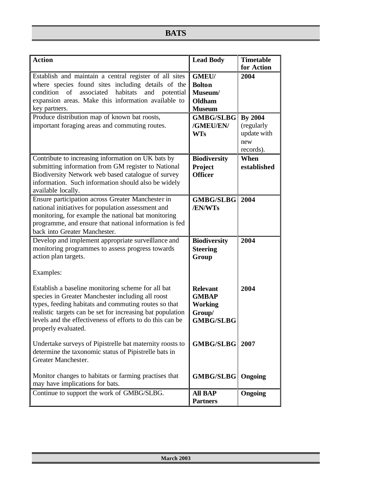# **BATS**

| <b>Action</b>                                                                                                                                                                                                                                                                                                     | <b>Lead Body</b>                                                                | <b>Timetable</b><br>for Action                                  |
|-------------------------------------------------------------------------------------------------------------------------------------------------------------------------------------------------------------------------------------------------------------------------------------------------------------------|---------------------------------------------------------------------------------|-----------------------------------------------------------------|
| Establish and maintain a central register of all sites<br>where species found sites including details of the<br>associated habitats<br>condition<br>of<br>and<br>potential<br>expansion areas. Make this information available to<br>key partners.                                                                | <b>GMEU/</b><br><b>Bolton</b><br>Museum/<br>Oldham<br><b>Museum</b>             | 2004                                                            |
| Produce distribution map of known bat roosts,<br>important foraging areas and commuting routes.                                                                                                                                                                                                                   | <b>GMBG/SLBG</b><br>/GMEU/EN/<br><b>WTs</b>                                     | <b>By 2004</b><br>(regularly<br>update with<br>new<br>records). |
| Contribute to increasing information on UK bats by<br>submitting information from GM register to National<br>Biodiversity Network web based catalogue of survey<br>information. Such information should also be widely<br>available locally.                                                                      | <b>Biodiversity</b><br>Project<br><b>Officer</b>                                | When<br>established                                             |
| Ensure participation across Greater Manchester in<br>national initiatives for population assessment and<br>monitoring, for example the national bat monitoring<br>programme, and ensure that national information is fed<br>back into Greater Manchester.                                                         | <b>GMBG/SLBG</b><br>/EN/WTs                                                     | 2004                                                            |
| Develop and implement appropriate surveillance and<br>monitoring programmes to assess progress towards<br>action plan targets.<br>Examples:                                                                                                                                                                       | <b>Biodiversity</b><br><b>Steering</b><br>Group                                 | 2004                                                            |
| Establish a baseline monitoring scheme for all bat<br>species in Greater Manchester including all roost<br>types, feeding habitats and commuting routes so that<br>realistic targets can be set for increasing bat population<br>levels and the effectiveness of efforts to do this can be<br>properly evaluated. | <b>Relevant</b><br><b>GMBAP</b><br><b>Working</b><br>Group/<br><b>GMBG/SLBG</b> | 2004                                                            |
| Undertake surveys of Pipistrelle bat maternity roosts to<br>determine the taxonomic status of Pipistrelle bats in<br>Greater Manchester.                                                                                                                                                                          | <b>GMBG/SLBG</b>                                                                | 2007                                                            |
| Monitor changes to habitats or farming practises that<br>may have implications for bats.                                                                                                                                                                                                                          | GMBG/SLBG                                                                       | Ongoing                                                         |
| Continue to support the work of GMBG/SLBG.                                                                                                                                                                                                                                                                        | <b>All BAP</b><br><b>Partners</b>                                               | <b>Ongoing</b>                                                  |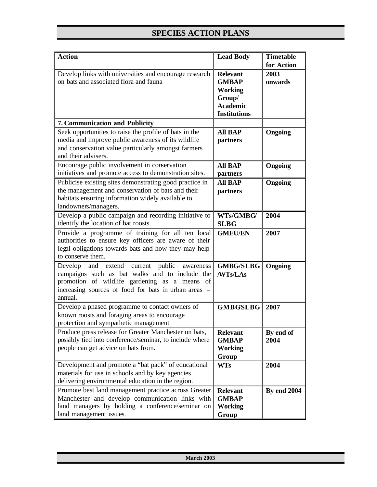| <b>Action</b>                                                                                                                                                                                                              | <b>Lead Body</b>                                                                                      | <b>Timetable</b>              |
|----------------------------------------------------------------------------------------------------------------------------------------------------------------------------------------------------------------------------|-------------------------------------------------------------------------------------------------------|-------------------------------|
| Develop links with universities and encourage research<br>on bats and associated flora and fauna                                                                                                                           | <b>Relevant</b><br><b>GMBAP</b><br><b>Working</b><br>Group/<br><b>Academic</b><br><b>Institutions</b> | for Action<br>2003<br>onwards |
| 7. Communication and Publicity                                                                                                                                                                                             |                                                                                                       |                               |
| Seek opportunities to raise the profile of bats in the<br>media and improve public awareness of its wildlife<br>and conservation value particularly amongst farmers<br>and their advisers.                                 | <b>All BAP</b><br>partners                                                                            | <b>Ongoing</b>                |
| Encourage public involvement in conservation<br>initiatives and promote access to demonstration sites.                                                                                                                     | <b>All BAP</b>                                                                                        | Ongoing                       |
| Publicise existing sites demonstrating good practice in<br>the management and conservation of bats and their<br>habitats ensuring information widely available to<br>landowners/managers.                                  | partners<br><b>All BAP</b><br>partners                                                                | <b>Ongoing</b>                |
| Develop a public campaign and recording initiative to<br>identify the location of bat roosts.                                                                                                                              | WTs/GMBG/<br><b>SLBG</b>                                                                              | 2004                          |
| Provide a programme of training for all ten local<br>authorities to ensure key officers are aware of their<br>legal obligations towards bats and how they may help<br>to conserve them.                                    | <b>GMEU/EN</b>                                                                                        | 2007                          |
| Develop and extend<br>public<br>current<br>awareness<br>campaigns such as bat walks and to include the<br>promotion of wildlife gardening as a means of<br>increasing sources of food for bats in urban areas -<br>annual. | <b>GMBG/SLBG</b><br>/WTs/LAs                                                                          | <b>Ongoing</b>                |
| Develop a phased programme to contact owners of<br>known roosts and foraging areas to encourage<br>protection and sympathetic management                                                                                   | <b>GMBGSLBG</b>                                                                                       | 2007                          |
| Produce press release for Greater Manchester on bats,<br>possibly tied into conference/seminar, to include where<br>people can get advice on bats from.                                                                    | <b>Relevant</b><br><b>GMBAP</b><br><b>Working</b><br>Group                                            | By end of<br>2004             |
| Development and promote a "bat pack" of educational<br>materials for use in schools and by key agencies<br>delivering environmental education in the region.                                                               | <b>WTs</b>                                                                                            | 2004                          |
| Promote best land management practice across Greater<br>Manchester and develop communication links with<br>land managers by holding a conference/seminar on<br>land management issues.                                     | <b>Relevant</b><br><b>GMBAP</b><br><b>Working</b><br>Group                                            | <b>By end 2004</b>            |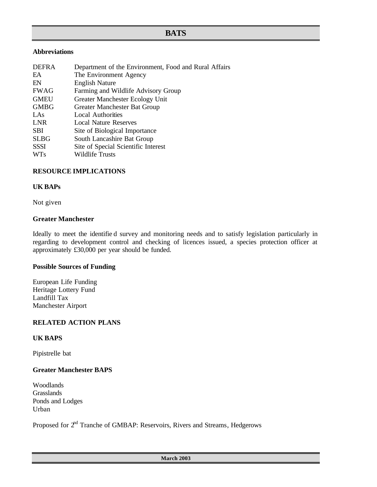# **BATS**

## **Abbreviations**

| <b>DEFRA</b> | Department of the Environment, Food and Rural Affairs |
|--------------|-------------------------------------------------------|
| EA           | The Environment Agency                                |
| EN           | <b>English Nature</b>                                 |
| FWAG         | Farming and Wildlife Advisory Group                   |
| <b>GMEU</b>  | Greater Manchester Ecology Unit                       |
| <b>GMBG</b>  | Greater Manchester Bat Group                          |
| LAs          | <b>Local Authorities</b>                              |
| <b>LNR</b>   | Local Nature Reserves                                 |
| <b>SBI</b>   | Site of Biological Importance                         |
| <b>SLBG</b>  | South Lancashire Bat Group                            |
| <b>SSSI</b>  | Site of Special Scientific Interest                   |
| <b>WTs</b>   | Wildlife Trusts                                       |

## **RESOURCE IMPLICATIONS**

#### **UK BAPs**

Not given

#### **Greater Manchester**

Ideally to meet the identifie d survey and monitoring needs and to satisfy legislation particularly in regarding to development control and checking of licences issued, a species protection officer at approximately £30,000 per year should be funded.

#### **Possible Sources of Funding**

European Life Funding Heritage Lottery Fund Landfill Tax Manchester Airport

# **RELATED ACTION PLANS**

# **UK BAPS**

Pipistrelle bat

## **Greater Manchester BAPS**

Woodlands Grasslands Ponds and Lodges Urban

Proposed for 2<sup>nd</sup> Tranche of GMBAP: Reservoirs, Rivers and Streams, Hedgerows